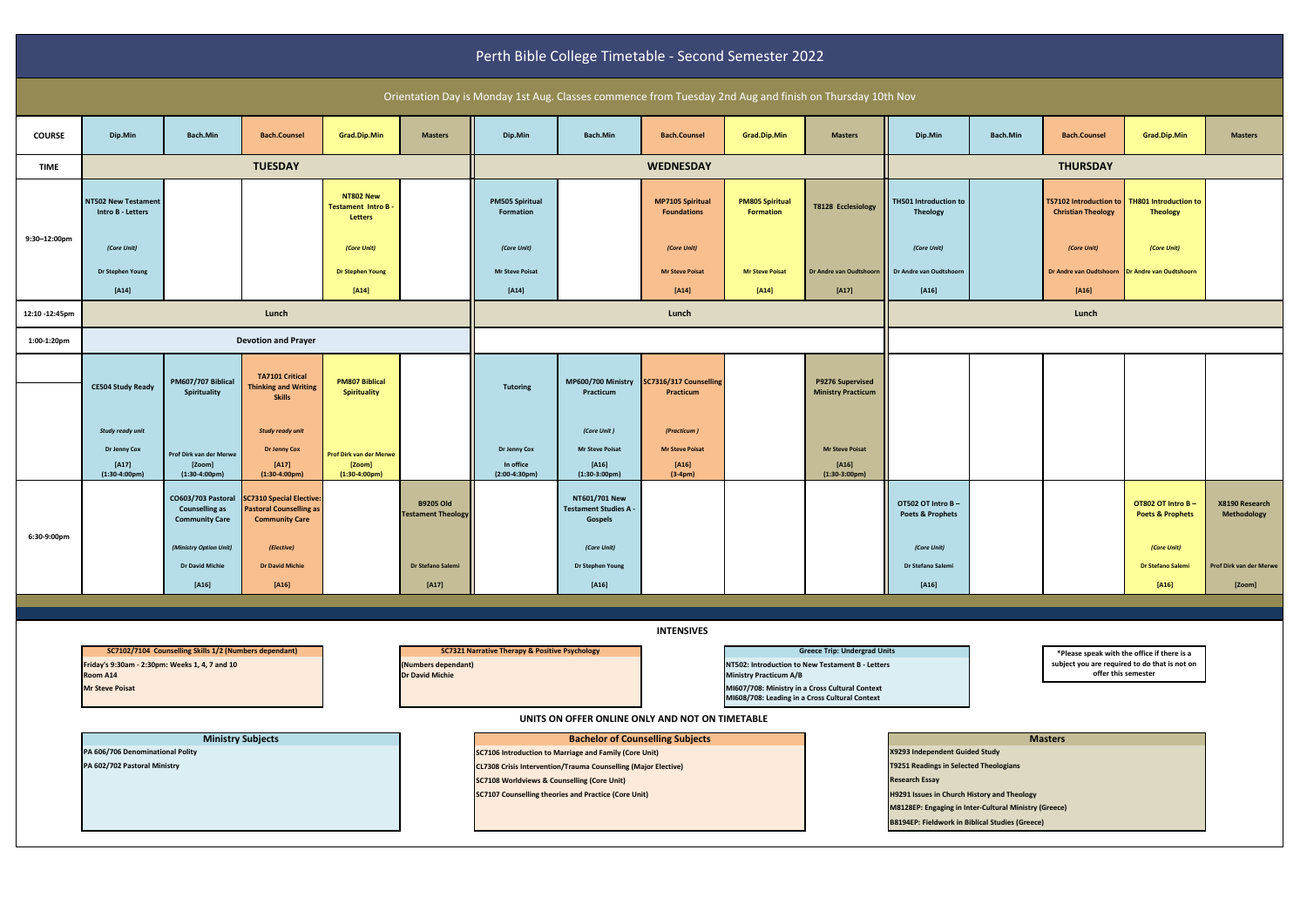| Perth Bible College Timetable - Second Semester 2022                                                     |                                                                                                                      |                                                                      |                                                                                     |                                                         |                                                                                                                       |                                                                                                   |                                                               |                                               |                                            |                                                                                         |                                                  |                                                                                                                     |                                                            |                                                   |                                      |
|----------------------------------------------------------------------------------------------------------|----------------------------------------------------------------------------------------------------------------------|----------------------------------------------------------------------|-------------------------------------------------------------------------------------|---------------------------------------------------------|-----------------------------------------------------------------------------------------------------------------------|---------------------------------------------------------------------------------------------------|---------------------------------------------------------------|-----------------------------------------------|--------------------------------------------|-----------------------------------------------------------------------------------------|--------------------------------------------------|---------------------------------------------------------------------------------------------------------------------|------------------------------------------------------------|---------------------------------------------------|--------------------------------------|
| Orientation Day is Monday 1st Aug. Classes commence from Tuesday 2nd Aug and finish on Thursday 10th Nov |                                                                                                                      |                                                                      |                                                                                     |                                                         |                                                                                                                       |                                                                                                   |                                                               |                                               |                                            |                                                                                         |                                                  |                                                                                                                     |                                                            |                                                   |                                      |
| <b>COURSE</b>                                                                                            | Dip.Min                                                                                                              | Bach.Min                                                             | <b>Bach.Counsel</b>                                                                 | Grad.Dip.Min                                            | <b>Masters</b>                                                                                                        | Dip.Min                                                                                           | Bach.Min                                                      | <b>Bach.Counsel</b>                           | Grad.Dip.Min                               | <b>Masters</b>                                                                          | Dip.Min                                          | Bach.Min                                                                                                            | <b>Bach.Counsel</b>                                        | Grad.Dip.Min                                      | <b>Masters</b>                       |
| <b>TIME</b>                                                                                              |                                                                                                                      | <b>TUESDAY</b>                                                       |                                                                                     |                                                         |                                                                                                                       |                                                                                                   | <b>WEDNESDAY</b>                                              |                                               |                                            |                                                                                         | <b>THURSDAY</b>                                  |                                                                                                                     |                                                            |                                                   |                                      |
|                                                                                                          | <b>NT502 New Testament</b><br>Intro B - Letters                                                                      |                                                                      |                                                                                     | NT802 New<br><b>Testament Intro B</b><br><b>Letters</b> |                                                                                                                       | <b>PM505 Spiritual</b><br>Formation                                                               |                                                               | <b>MP7105 Spiritual</b><br><b>Foundations</b> | <b>PM805 Spiritual</b><br><b>Formation</b> | <b>T8128 Ecclesiology</b>                                                               | TH501 Introduction to<br><b>Theology</b>         |                                                                                                                     | <b>TS7102 Introduction to</b><br><b>Christian Theology</b> | <b>TH801 Introduction to</b><br><b>Theology</b>   |                                      |
| 9:30-12:00pm                                                                                             | (Core Unit)                                                                                                          |                                                                      |                                                                                     | (Core Unit)                                             |                                                                                                                       | (Core Unit)                                                                                       |                                                               | (Core Unit)                                   |                                            |                                                                                         | (Core Unit)                                      |                                                                                                                     | (Core Unit)                                                | (Core Unit)                                       |                                      |
|                                                                                                          | Dr Stephen Young                                                                                                     |                                                                      |                                                                                     | <b>Dr Stephen Young</b>                                 |                                                                                                                       | <b>Mr Steve Poisat</b>                                                                            |                                                               | <b>Mr Steve Poisat</b>                        | <b>Mr Steve Poisat</b>                     | Dr Andre van Oudtshoorn Dr Andre van Oudtshoorn                                         |                                                  |                                                                                                                     | Dr Andre van Oudtshoorn Dr Andre van Oudtshoorn            |                                                   |                                      |
|                                                                                                          | $[A14]$                                                                                                              |                                                                      |                                                                                     | $[A14]$                                                 |                                                                                                                       | $[A14]$                                                                                           |                                                               | $[A14]$                                       | $[A14]$                                    | $[A17]$                                                                                 | $[A16]$                                          |                                                                                                                     | $[A16]$                                                    |                                                   |                                      |
| 12:10 -12:45pm                                                                                           |                                                                                                                      | Lunch                                                                |                                                                                     |                                                         |                                                                                                                       | Lunch                                                                                             |                                                               |                                               |                                            | Lunch                                                                                   |                                                  |                                                                                                                     |                                                            |                                                   |                                      |
| 1:00-1:20pm                                                                                              |                                                                                                                      | <b>Devotion and Prayer</b>                                           |                                                                                     |                                                         |                                                                                                                       |                                                                                                   |                                                               |                                               |                                            |                                                                                         |                                                  |                                                                                                                     |                                                            |                                                   |                                      |
|                                                                                                          | <b>CE504 Study Ready</b>                                                                                             | PM607/707 Biblical                                                   | <b>TA7101 Critical</b>                                                              | <b>PM807 Biblical</b>                                   |                                                                                                                       | <b>Tutoring</b>                                                                                   | MP600/700 Ministry                                            | SC7316/317 Counselling                        |                                            | P9276 Supervised                                                                        |                                                  |                                                                                                                     |                                                            |                                                   |                                      |
|                                                                                                          |                                                                                                                      | Spirituality                                                         | <b>Thinking and Writing</b><br><b>Skills</b>                                        | <b>Spirituality</b>                                     |                                                                                                                       |                                                                                                   | Practicum                                                     | Practicum                                     |                                            | <b>Ministry Practicum</b>                                                               |                                                  |                                                                                                                     |                                                            |                                                   |                                      |
|                                                                                                          | Study ready unit                                                                                                     |                                                                      | <b>Study ready unit</b>                                                             |                                                         |                                                                                                                       |                                                                                                   | (Core Unit)                                                   | (Practicum)                                   |                                            |                                                                                         |                                                  |                                                                                                                     |                                                            |                                                   |                                      |
|                                                                                                          | Dr Jenny Cox                                                                                                         | Prof Dirk van der Merwe                                              | <b>Dr Jenny Cox</b>                                                                 | Prof Dirk van der Merwe                                 |                                                                                                                       | Dr Jenny Cox                                                                                      | <b>Mr Steve Poisat</b>                                        | <b>Mr Steve Poisat</b>                        |                                            | <b>Mr Steve Poisat</b>                                                                  |                                                  |                                                                                                                     |                                                            |                                                   |                                      |
|                                                                                                          | $[A17]$<br>$(1:30-4:00pm)$                                                                                           | [Zoom]<br>$(1:30-4:00pm)$                                            | $[A17]$<br>$(1:30-4:00pm)$                                                          | [Zoom]<br>$(1:30-4:00 \text{pm})$                       |                                                                                                                       | In office<br>$(2:00-4:30pm)$                                                                      | $[A16]$<br>$(1:30-3:00pm)$                                    | $[A16]$<br>$(3-4pm)$                          |                                            | $[A16]$<br>$(1:30-3:00pm)$                                                              |                                                  |                                                                                                                     |                                                            |                                                   |                                      |
|                                                                                                          |                                                                                                                      | CO603/703 Pastoral<br><b>Counselling as</b><br><b>Community Care</b> | SC7310 Special Elective:<br><b>Pastoral Counselling as</b><br><b>Community Care</b> |                                                         | <b>B9205 Old</b><br><b>Testament Theology</b>                                                                         |                                                                                                   | NT601/701 New<br><b>Testament Studies A</b><br><b>Gospels</b> |                                               |                                            |                                                                                         | OT502 OT Intro B-<br><b>Poets &amp; Prophets</b> |                                                                                                                     |                                                            | OT802 OT Intro B -<br><b>Poets &amp; Prophets</b> | X8190 Research<br><b>Methodology</b> |
| 6:30-9:00pm                                                                                              |                                                                                                                      | (Ministry Option Unit)                                               | (Elective)                                                                          |                                                         |                                                                                                                       |                                                                                                   | (Core Unit)                                                   |                                               |                                            |                                                                                         | (Core Unit)                                      |                                                                                                                     |                                                            | (Core Unit)                                       |                                      |
|                                                                                                          |                                                                                                                      | <b>Dr David Michie</b>                                               | <b>Dr David Michie</b>                                                              |                                                         | Dr Stefano Salemi                                                                                                     |                                                                                                   | Dr Stephen Young                                              |                                               |                                            |                                                                                         | Dr Stefano Salemi                                |                                                                                                                     |                                                            | Dr Stefano Salemi                                 | Prof Dirk van der Merwe              |
|                                                                                                          |                                                                                                                      | $[A16]$                                                              | $[A16]$                                                                             |                                                         | $[A17]$                                                                                                               |                                                                                                   | $[A16]$                                                       |                                               |                                            |                                                                                         | $[A16]$                                          |                                                                                                                     |                                                            | $[A16]$                                           | [Zoom]                               |
|                                                                                                          |                                                                                                                      |                                                                      |                                                                                     |                                                         |                                                                                                                       |                                                                                                   |                                                               |                                               |                                            |                                                                                         |                                                  |                                                                                                                     |                                                            |                                                   |                                      |
|                                                                                                          | <b>INTENSIVES</b>                                                                                                    |                                                                      |                                                                                     |                                                         |                                                                                                                       |                                                                                                   |                                                               |                                               |                                            |                                                                                         |                                                  |                                                                                                                     |                                                            |                                                   |                                      |
|                                                                                                          | SC7102/7104 Counselling Skills 1/2 (Numbers dependant)<br>Friday's 9:30am - 2:30pm: Weeks 1, 4, 7 and 10<br>Room A14 |                                                                      |                                                                                     |                                                         | (Numbers dependant)<br><b>Dr David Michie</b>                                                                         | <b>SC7321 Narrative Therapy &amp; Positive Psychology</b>                                         |                                                               |                                               | <b>Ministry Practicum A/B</b>              | <b>Greece Trip: Undergrad Units</b><br>NT502: Introduction to New Testament B - Letters |                                                  | *Please speak with the office if there is a<br>subject you are required to do that is not on<br>offer this semester |                                                            |                                                   |                                      |
|                                                                                                          | <b>Mr Steve Poisat</b>                                                                                               |                                                                      |                                                                                     |                                                         |                                                                                                                       | MI607/708: Ministry in a Cross Cultural Context<br>MI608/708: Leading in a Cross Cultural Context |                                                               |                                               |                                            |                                                                                         |                                                  |                                                                                                                     |                                                            |                                                   |                                      |
| UNITS ON OFFER ONLINE ONLY AND NOT ON TIMETABLE                                                          |                                                                                                                      |                                                                      |                                                                                     |                                                         |                                                                                                                       |                                                                                                   |                                                               |                                               |                                            |                                                                                         |                                                  |                                                                                                                     |                                                            |                                                   |                                      |
|                                                                                                          |                                                                                                                      | <b>Ministry Subjects</b><br>PA 606/706 Denominational Polity         |                                                                                     |                                                         |                                                                                                                       | <b>Bachelor of Counselling Subjects</b><br>SC7106 Introduction to Marriage and Family (Core Unit) |                                                               |                                               |                                            |                                                                                         | <b>Masters</b><br>X9293 Independent Guided Study |                                                                                                                     |                                                            |                                                   |                                      |
|                                                                                                          | PA 602/702 Pastoral Ministry                                                                                         |                                                                      |                                                                                     |                                                         | <b>CL7308 Crisis Intervention/Trauma Counselling (Major Elective)</b>                                                 |                                                                                                   |                                                               |                                               |                                            | T9251 Readings in Selected Theologians                                                  |                                                  |                                                                                                                     |                                                            |                                                   |                                      |
|                                                                                                          |                                                                                                                      |                                                                      |                                                                                     |                                                         | <b>SC7108 Worldviews &amp; Counselling (Core Unit)</b><br><b>SC7107 Counselling theories and Practice (Core Unit)</b> |                                                                                                   |                                                               |                                               |                                            | <b>Research Essay</b><br>H9291 Issues in Church History and Theology                    |                                                  |                                                                                                                     |                                                            |                                                   |                                      |
|                                                                                                          |                                                                                                                      |                                                                      |                                                                                     |                                                         |                                                                                                                       |                                                                                                   |                                                               |                                               |                                            | M8128EP: Engaging in Inter-Cultural Ministry (Greece)                                   |                                                  |                                                                                                                     |                                                            |                                                   |                                      |

**B8194EP: Fieldwork in Biblical Studies (Greece)**